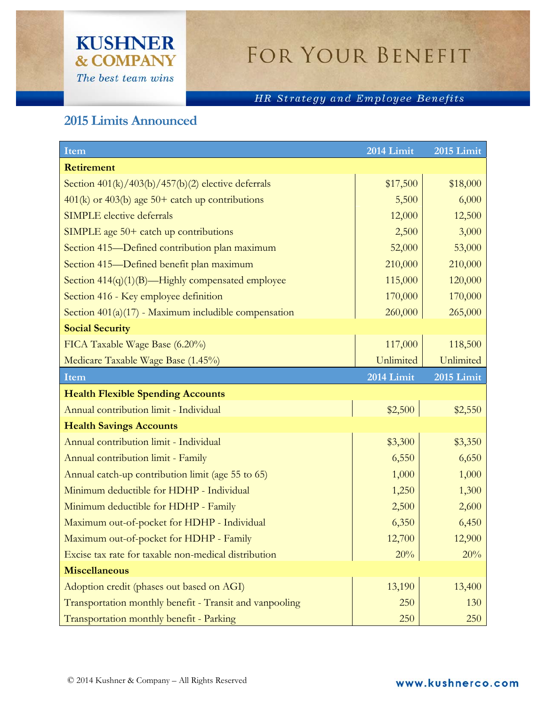## **KUSHNER & COMPANY** The best team wins

## FOR YOUR BENEFIT

## HR Strategy and Employee Benefits

## **2015 Limits Announced**

| Item                                                    | 2014 Limit | 2015 Limit |
|---------------------------------------------------------|------------|------------|
| <b>Retirement</b>                                       |            |            |
| Section $401(k)/403(b)/457(b)(2)$ elective deferrals    | \$17,500   | \$18,000   |
| $401(k)$ or $403(b)$ age $50+$ catch up contributions   | 5,500      | 6,000      |
| <b>SIMPLE</b> elective deferrals                        | 12,000     | 12,500     |
| SIMPLE age $50+$ catch up contributions                 | 2,500      | 3,000      |
| Section 415-Defined contribution plan maximum           | 52,000     | 53,000     |
| Section 415-Defined benefit plan maximum                | 210,000    | 210,000    |
| Section $414(q)(1)(B)$ —Highly compensated employee     | 115,000    | 120,000    |
| Section 416 - Key employee definition                   | 170,000    | 170,000    |
| Section $401(a)(17)$ - Maximum includible compensation  | 260,000    | 265,000    |
| <b>Social Security</b>                                  |            |            |
| FICA Taxable Wage Base (6.20%)                          | 117,000    | 118,500    |
| Medicare Taxable Wage Base (1.45%)                      | Unlimited  | Unlimited  |
| Item                                                    | 2014 Limit | 2015 Limit |
| <b>Health Flexible Spending Accounts</b>                |            |            |
| Annual contribution limit - Individual                  | \$2,500    | \$2,550    |
| <b>Health Savings Accounts</b>                          |            |            |
| Annual contribution limit - Individual                  | \$3,300    | \$3,350    |
| Annual contribution limit - Family                      | 6,550      | 6,650      |
| Annual catch-up contribution limit (age 55 to 65)       | 1,000      | 1,000      |
| Minimum deductible for HDHP - Individual                | 1,250      | 1,300      |
| Minimum deductible for HDHP - Family                    | 2,500      | 2,600      |
| Maximum out-of-pocket for HDHP - Individual             | 6,350      | 6,450      |
| Maximum out-of-pocket for HDHP - Family                 | 12,700     | 12,900     |
| Excise tax rate for taxable non-medical distribution    | 20%        | 20%        |
| <b>Miscellaneous</b>                                    |            |            |
| Adoption credit (phases out based on AGI)               | 13,190     | 13,400     |
| Transportation monthly benefit - Transit and vanpooling | 250        | 130        |
| Transportation monthly benefit - Parking                | 250        | 250        |